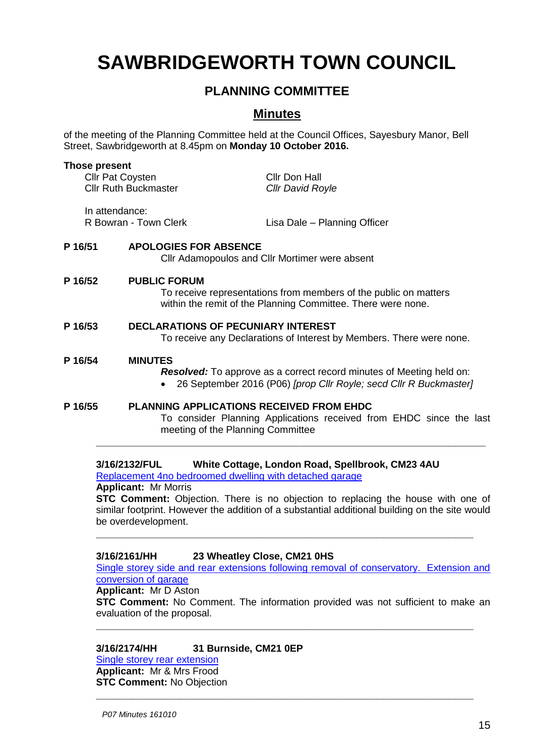# **SAWBRIDGEWORTH TOWN COUNCIL**

# **PLANNING COMMITTEE**

# **Minutes**

of the meeting of the Planning Committee held at the Council Offices, Sayesbury Manor, Bell Street, Sawbridgeworth at 8.45pm on **Monday 10 October 2016.**

|         | Those present<br><b>Cllr Pat Coysten</b><br><b>Cllr Ruth Buckmaster</b> |                                                                                                                                                         | Cllr Don Hall<br><b>Cllr David Royle</b>                                                                                                         |
|---------|-------------------------------------------------------------------------|---------------------------------------------------------------------------------------------------------------------------------------------------------|--------------------------------------------------------------------------------------------------------------------------------------------------|
|         | In attendance:<br>R Bowran - Town Clerk                                 |                                                                                                                                                         | Lisa Dale - Planning Officer                                                                                                                     |
| P 16/51 |                                                                         | <b>APOLOGIES FOR ABSENCE</b><br>Cllr Adamopoulos and Cllr Mortimer were absent                                                                          |                                                                                                                                                  |
| P 16/52 |                                                                         | <b>PUBLIC FORUM</b><br>To receive representations from members of the public on matters<br>within the remit of the Planning Committee. There were none. |                                                                                                                                                  |
| P 16/53 |                                                                         | <b>DECLARATIONS OF PECUNIARY INTEREST</b>                                                                                                               | To receive any Declarations of Interest by Members. There were none.                                                                             |
| P 16/54 |                                                                         | <b>MINUTES</b>                                                                                                                                          | <b>Resolved:</b> To approve as a correct record minutes of Meeting held on:<br>26 September 2016 (P06) [prop Cllr Royle; secd Cllr R Buckmaster] |
| P 16/55 |                                                                         | <b>PLANNING APPLICATIONS RECEIVED FROM EHDC</b><br>meeting of the Planning Committee                                                                    | To consider Planning Applications received from EHDC since the last                                                                              |

# **3/16/2132/FUL White Cottage, London Road, Spellbrook, CM23 4AU**

[Replacement 4no bedroomed dwelling with detached garage](https://publicaccess.eastherts.gov.uk/online-applications/applicationDetails.do?activeTab=summary&keyVal=ODRB4LGLLH500)

# **Applicant:** Mr Morris

**STC Comment:** Objection. There is no objection to replacing the house with one of similar footprint. However the addition of a substantial additional building on the site would be overdevelopment.

**\_\_\_\_\_\_\_\_\_\_\_\_\_\_\_\_\_\_\_\_\_\_\_\_\_\_\_\_\_\_\_\_\_\_\_\_\_\_\_\_\_\_\_\_\_\_\_\_\_\_\_\_\_\_\_\_\_\_\_\_\_\_\_**

# **3/16/2161/HH 23 Wheatley Close, CM21 0HS**

[Single storey side and rear extensions following removal of conservatory. Extension and](https://publicaccess.eastherts.gov.uk/online-applications/applicationDetails.do?activeTab=summary&keyVal=ODUJN3GL00X00)  [conversion of garage](https://publicaccess.eastherts.gov.uk/online-applications/applicationDetails.do?activeTab=summary&keyVal=ODUJN3GL00X00)

#### **Applicant:** Mr D Aston

**STC Comment:** No Comment. The information provided was not sufficient to make an evaluation of the proposal.

**\_\_\_\_\_\_\_\_\_\_\_\_\_\_\_\_\_\_\_\_\_\_\_\_\_\_\_\_\_\_\_\_\_\_\_\_\_\_\_\_\_\_\_\_\_\_\_\_\_\_\_\_\_\_\_\_\_\_\_\_\_\_\_**

**\_\_\_\_\_\_\_\_\_\_\_\_\_\_\_\_\_\_\_\_\_\_\_\_\_\_\_\_\_\_\_\_\_\_\_\_\_\_\_\_\_\_\_\_\_\_\_\_\_\_\_\_\_\_\_\_\_\_\_\_\_\_\_**

# **3/16/2174/HH 31 Burnside, CM21 0EP**

[Single storey rear extension](https://publicaccess.eastherts.gov.uk/online-applications/applicationDetails.do?activeTab=summary&keyVal=ODWJX7GLLJ400) **Applicant:** Mr & Mrs Frood **STC Comment:** No Objection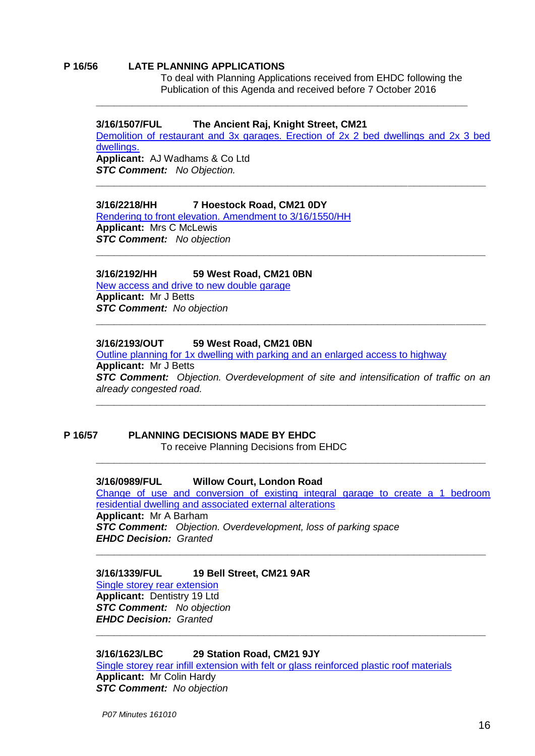#### **P 16/56 LATE PLANNING APPLICATIONS**

To deal with Planning Applications received from EHDC following the Publication of this Agenda and received before 7 October 2016

#### **3/16/1507/FUL The Ancient Raj, Knight Street, CM21**

Demolition of [restaurant and 3x garages. Erection of 2x 2 bed dwellings and 2x 3 bed](https://publicaccess.eastherts.gov.uk/online-applications/applicationDetails.do?activeTab=summary&keyVal=O68MOFGLJNH00)  [dwellings.](https://publicaccess.eastherts.gov.uk/online-applications/applicationDetails.do?activeTab=summary&keyVal=O68MOFGLJNH00) **Applicant:** AJ Wadhams & Co Ltd *STC Comment: No Objection.* 

**\_\_\_\_\_\_\_\_\_\_\_\_\_\_\_\_\_\_\_\_\_\_\_\_\_\_\_\_\_\_\_\_\_\_\_\_\_\_\_\_\_\_\_\_\_\_\_\_\_\_\_\_\_\_\_\_\_\_\_\_\_\_\_\_\_**

**\_\_\_\_\_\_\_\_\_\_\_\_\_\_\_\_\_\_\_\_\_\_\_\_\_\_\_\_\_\_\_\_\_\_\_\_\_\_\_\_\_\_\_\_\_\_\_\_\_\_\_\_\_\_\_\_\_\_\_\_\_\_\_\_\_**

**\_\_\_\_\_\_\_\_\_\_\_\_\_\_\_\_\_\_\_\_\_\_\_\_\_\_\_\_\_\_\_\_\_\_\_\_\_\_\_\_\_\_\_\_\_\_\_\_\_\_\_\_\_\_\_\_\_\_\_\_\_\_**

## **3/16/2218/HH 7 Hoestock Road, CM21 0DY**

[Rendering to front elevation. Amendment to 3/16/1550/HH](https://publicaccess.eastherts.gov.uk/online-applications/applicationDetails.do?activeTab=summary&keyVal=O8I3YVGLK8G00) **Applicant:** Mrs C McLewis *STC Comment: No objection*

#### **3/16/2192/HH 59 West Road, CM21 0BN**

[New access and drive to new double garage](https://publicaccess.eastherts.gov.uk/online-applications/applicationDetails.do?activeTab=summary&keyVal=OACV91GL00B00) **Applicant:** Mr J Betts *STC Comment: No objection*

#### **3/16/2193/OUT 59 West Road, CM21 0BN**

Outline [planning for 1x dwelling with parking and an enlarged access to highway](https://publicaccess.eastherts.gov.uk/online-applications/applicationDetails.do?activeTab=summary&keyVal=OACV91GL00B00) **Applicant:** Mr J Betts *STC Comment: Objection. Overdevelopment of site and intensification of traffic on an already congested road.*

**\_\_\_\_\_\_\_\_\_\_\_\_\_\_\_\_\_\_\_\_\_\_\_\_\_\_\_\_\_\_\_\_\_\_\_\_\_\_\_\_\_\_\_\_\_\_\_\_\_\_\_\_\_\_\_\_\_\_\_\_\_\_\_\_\_**

**\_\_\_\_\_\_\_\_\_\_\_\_\_\_\_\_\_\_\_\_\_\_\_\_\_\_\_\_\_\_\_\_\_\_\_\_\_\_\_\_\_\_\_\_\_\_\_\_\_\_\_\_\_\_\_\_\_\_\_\_\_\_\_\_\_**

#### **P 16/57 PLANNING DECISIONS MADE BY EHDC** To receive Planning Decisions from EHDC

**\_\_\_\_\_\_\_\_\_\_\_\_\_\_\_\_\_\_\_\_\_\_\_\_\_\_\_\_\_\_\_\_\_\_\_\_\_\_\_\_\_\_\_\_\_\_\_\_\_\_\_\_\_\_\_\_\_\_\_\_\_\_\_\_\_**

## **3/16/0989/FUL Willow Court, London Road**

[Change of use and conversion of existing integral garage to create a 1 bedroom](https://publicaccess.eastherts.gov.uk/online-applications/applicationDetails.do?activeTab=summary&keyVal=O68MOFGLJNH00)  [residential dwelling and associated external alterations](https://publicaccess.eastherts.gov.uk/online-applications/applicationDetails.do?activeTab=summary&keyVal=O68MOFGLJNH00) **Applicant:** Mr A Barham *STC Comment: Objection. Overdevelopment, loss of parking space*

**\_\_\_\_\_\_\_\_\_\_\_\_\_\_\_\_\_\_\_\_\_\_\_\_\_\_\_\_\_\_\_\_\_\_\_\_\_\_\_\_\_\_\_\_\_\_\_\_\_\_\_\_\_\_\_\_\_\_\_\_\_\_\_\_\_**

**\_\_\_\_\_\_\_\_\_\_\_\_\_\_\_\_\_\_\_\_\_\_\_\_\_\_\_\_\_\_\_\_\_\_\_\_\_\_\_\_\_\_\_\_\_\_\_\_\_\_\_\_\_\_\_\_\_\_\_\_\_\_\_\_\_**

*EHDC Decision: Granted*

#### **3/16/1339/FUL 19 Bell Street, CM21 9AR**

[Single storey rear extension](https://publicaccess.eastherts.gov.uk/online-applications/applicationDetails.do?activeTab=summary&keyVal=O8I3YVGLK8G00) **Applicant:** Dentistry 19 Ltd *STC Comment: No objection EHDC Decision: Granted*

#### **3/16/1623/LBC 29 Station Road, CM21 9JY**

[Single storey rear infill extension with felt or glass reinforced plastic roof materials](https://publicaccess.eastherts.gov.uk/online-applications/applicationDetails.do?activeTab=summary&keyVal=OACV91GL00B00) **Applicant:** Mr Colin Hardy *STC Comment: No objection*

*P07 Minutes 161010*